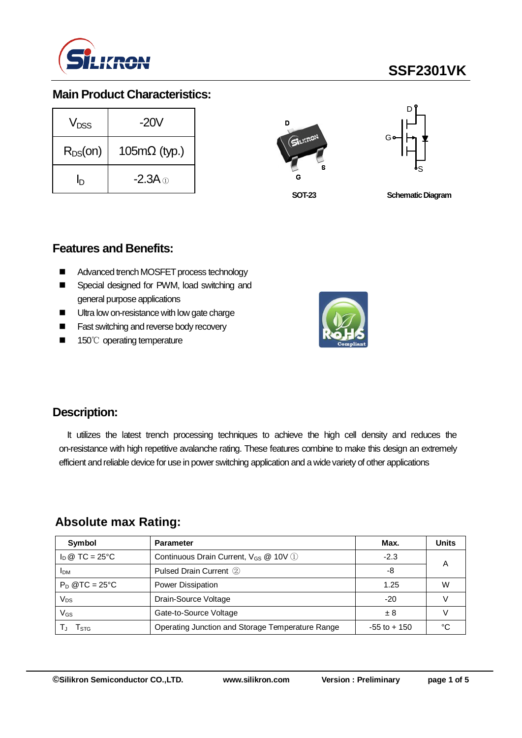

# **SSF2301VK**

### **Main Product Characteristics:**

| V <sub>DSS</sub> | $-20V$                      |  |  |  |  |
|------------------|-----------------------------|--|--|--|--|
| $R_{DS}(on)$     | $105 \text{m}\Omega$ (typ.) |  |  |  |  |
| h                | $-2.3A \odot$               |  |  |  |  |





**SOT-23**

**Schematic Diagram** 

#### **Features and Benefits:**

- Advanced trench MOSFET process technology
- Special designed for PWM, load switching and general purpose applications
- Ultra low on-resistance with low gate charge
- **Fast switching and reverse body recovery**
- 150℃ operating temperature



### **Description:**

It utilizes the latest trench processing techniques to achieve the high cell density and reduces the on-resistance with high repetitive avalanche rating. These features combine to make this design an extremely efficient and reliable device for use in power switching application and a wide variety of other applications

### **Absolute max Rating:**

| Symbol                         | <b>Parameter</b>                                  | Max.            | <b>Units</b> |
|--------------------------------|---------------------------------------------------|-----------------|--------------|
| $I_D \otimes TC = 25^{\circ}C$ | Continuous Drain Current, V <sub>GS</sub> @ 10V 1 | $-2.3$          | А            |
| <b>IDM</b>                     | Pulsed Drain Current 2                            | -8              |              |
| $P_D$ @TC = 25°C               | Power Dissipation                                 | 1.25            | W            |
| Vps                            | Drain-Source Voltage                              | $-20$           |              |
| VGs                            | Gate-to-Source Voltage                            | ± 8             |              |
| l stg                          | Operating Junction and Storage Temperature Range  | $-55$ to $+150$ | ∘∩           |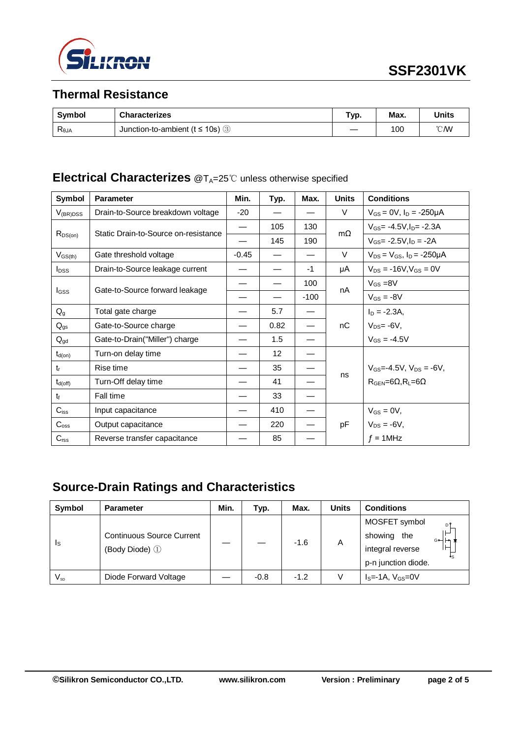

## **Thermal Resistance**

| <b>Symbol</b>  | <b>Characterizes</b>                               | Гур. | Max. | Units         |
|----------------|----------------------------------------------------|------|------|---------------|
| $R_{\theta$ JA | Junction-to-ambient ( $t \le 10$ s) $\circledcirc$ |      | 100  | $\degree$ CMV |

# **Electrical Characterizes** @T<sub>A</sub>=25℃ unless otherwise specified

| Symbol           | <b>Parameter</b>                     | Min.    | Typ. | Max.   | <b>Units</b> | <b>Conditions</b>                                  |
|------------------|--------------------------------------|---------|------|--------|--------------|----------------------------------------------------|
| $V_{(BR)DSS}$    | Drain-to-Source breakdown voltage    | $-20$   |      |        | V            | $V_{GS} = 0V$ , $I_D = -250\mu A$                  |
| $R_{DS(on)}$     | Static Drain-to-Source on-resistance | —       | 105  | 130    | $m\Omega$    | $V_{GS} = -4.5V I_{D} = -2.3A$                     |
|                  |                                      |         | 145  | 190    |              | $V_{GS} = -2.5V I_D = -2A$                         |
| $V_{GS(th)}$     | Gate threshold voltage               | $-0.45$ |      |        | $\vee$       | $V_{DS} = V_{GS}$ , $I_D = -250 \mu A$             |
| $I_{DSS}$        | Drain-to-Source leakage current      |         |      | -1     | μA           | $V_{DS} = -16V$ , $V_{GS} = 0V$                    |
|                  |                                      |         |      | 100    | nA           | $V_{GS} = 8V$                                      |
| lgss             | Gate-to-Source forward leakage       |         |      | $-100$ |              | $V_{GS} = -8V$                                     |
| $Q_{g}$          | Total gate charge                    |         | 5.7  |        |              | $I_D = -2.3A$                                      |
| $Q_{gs}$         | Gate-to-Source charge                |         | 0.82 |        | nC           | $V_{DS} = -6V$ ,                                   |
| $Q_{gd}$         | Gate-to-Drain("Miller") charge       |         | 1.5  |        |              | $V_{GS} = -4.5V$                                   |
| $t_{d(on)}$      | Turn-on delay time                   |         | 12   |        |              |                                                    |
| $t_{r}$          | Rise time                            |         | 35   |        |              | $V_{GS} = -4.5V$ , $V_{DS} = -6V$ ,                |
| $t_{d(off)}$     | Turn-Off delay time                  |         | 41   |        | ns           | $R_{\text{GEN}} = 6\Omega, R_{\text{L}} = 6\Omega$ |
| $t_{\rm f}$      | Fall time                            |         | 33   |        |              |                                                    |
| $C_{iss}$        | Input capacitance                    |         | 410  |        |              | $V_{GS} = 0V$ ,                                    |
| $C_{\text{oss}}$ | Output capacitance                   |         | 220  |        | pF           | $V_{DS} = -6V$ ,                                   |
| $C_{\text{rss}}$ | Reverse transfer capacitance         |         | 85   |        |              | $f = 1$ MHz                                        |

# **Source-Drain Ratings and Characteristics**

| Symbol                  | <b>Parameter</b>                                   | Min. | Typ.   | Max.   | <b>Units</b> | <b>Conditions</b>                                                                      |  |
|-------------------------|----------------------------------------------------|------|--------|--------|--------------|----------------------------------------------------------------------------------------|--|
| $\mathsf{I}_\mathsf{S}$ | <b>Continuous Source Current</b><br>(Body Diode) 1 |      |        | $-1.6$ | A            | MOSFET symbol<br>D<br>showing<br>the<br>⊶⊢∽<br>integral reverse<br>p-n junction diode. |  |
| $V_{\textrm{\tiny SD}}$ | Diode Forward Voltage                              |      | $-0.8$ | $-1.2$ |              | $IS=-1A, VGS=0V$                                                                       |  |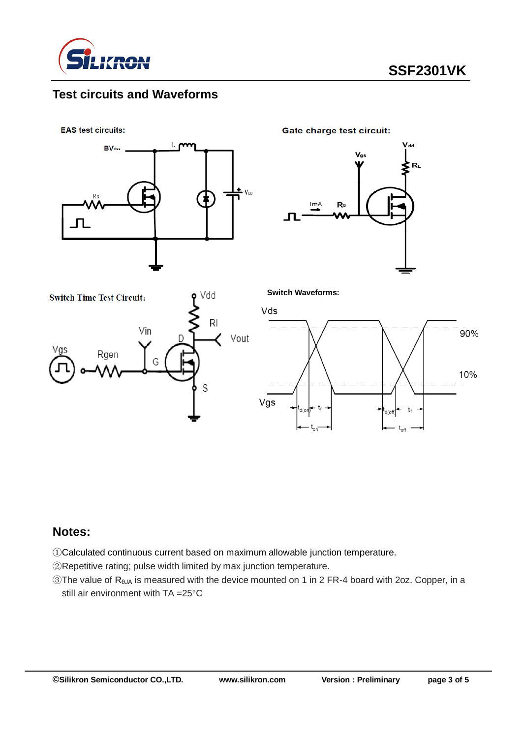

## **Test circuits and Waveforms**

**EAS test circuits:** 



**Gate charge test circuit:** 

**Switch Waveforms:**







#### **Notes:**

①Calculated continuous current based on maximum allowable junction temperature.

②Repetitive rating; pulse width limited by max junction temperature.

③The value of RθJA is measured with the device mounted on 1 in 2 FR-4 board with 2oz. Copper, in a still air environment with TA =25°C

Vgs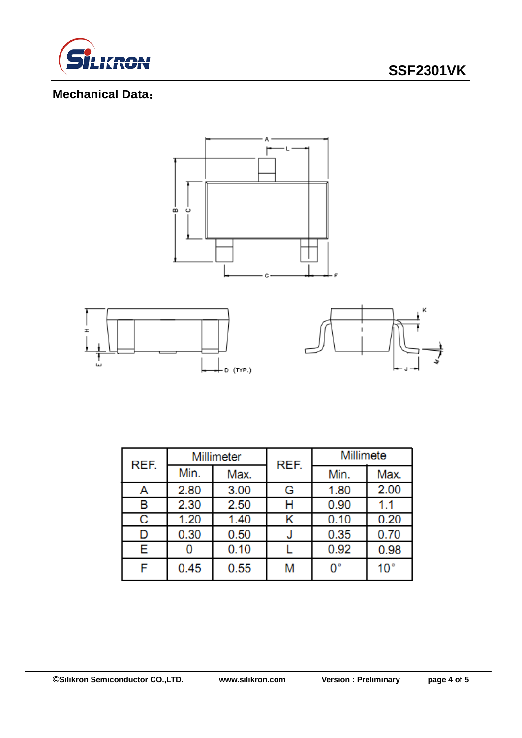

# **SSF2301VK**

# **Mechanical Data**:



| REF. | Millimeter |      | REF. | Millimete |                 |  |
|------|------------|------|------|-----------|-----------------|--|
|      | Min.       | Max. |      | Min.      | Max.            |  |
| Α    | 2.80       | 3.00 | G    | 1.80      | 2.00            |  |
| в    | 2.30       | 2.50 | н    | 0.90      | 1.1             |  |
| С    | 1.20       | 1.40 |      | 0.10      | 0.20            |  |
| D    | 0.30       | 0.50 |      | 0.35      | 0.70            |  |
| Е    |            | 0.10 |      | 0.92      | 0.98            |  |
| F    | 0.45       | 0.55 | M    | o٠        | 10 <sup>°</sup> |  |